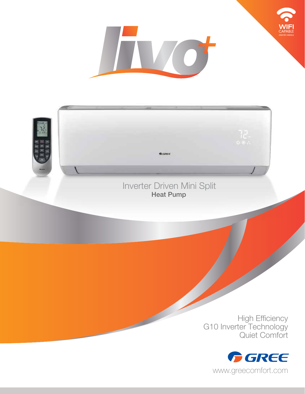

## Inverter Driven Mini Split Heat Pump

**G** GREE

High Efficiency G10 Inverter Technology Quiet Comfort